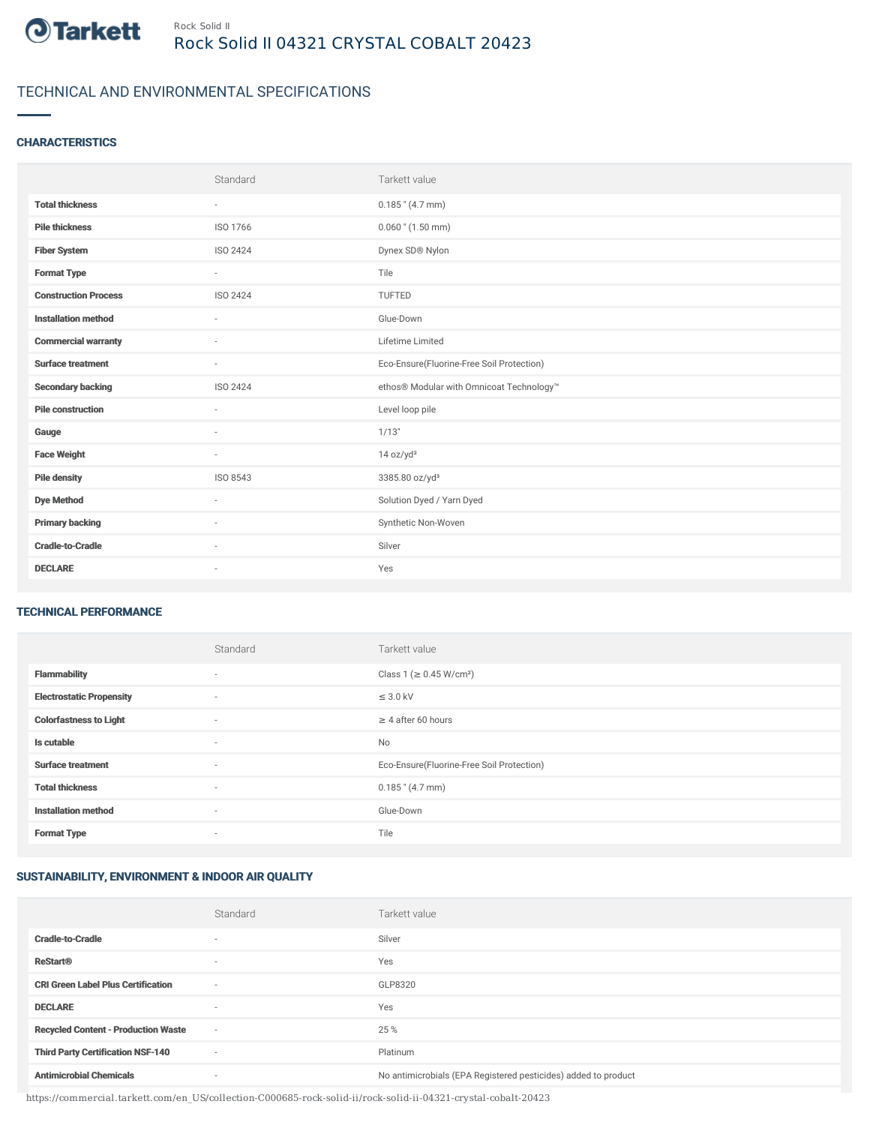

## TECHNICAL AND ENVIRONMENTAL SPECIFICATIONS

### **CHARACTERISTICS**

|                             | Standard                 | Tarkett value                             |
|-----------------------------|--------------------------|-------------------------------------------|
| <b>Total thickness</b>      | $\sim$                   | $0.185$ " (4.7 mm)                        |
| <b>Pile thickness</b>       | ISO 1766                 | $0.060$ " $(1.50$ mm)                     |
| <b>Fiber System</b>         | ISO 2424                 | Dynex SD® Nylon                           |
| <b>Format Type</b>          | $\sim$                   | Tile                                      |
| <b>Construction Process</b> | <b>ISO 2424</b>          | <b>TUFTED</b>                             |
| <b>Installation method</b>  | $\sim$                   | Glue-Down                                 |
| <b>Commercial warranty</b>  | $\sim$                   | Lifetime Limited                          |
| <b>Surface treatment</b>    | $\sim$                   | Eco-Ensure(Fluorine-Free Soil Protection) |
| <b>Secondary backing</b>    | ISO 2424                 | ethos® Modular with Omnicoat Technology™  |
| <b>Pile construction</b>    |                          | Level loop pile                           |
| Gauge                       | $\sim$                   | 1/13"                                     |
| <b>Face Weight</b>          | $\sim$                   | 14 oz/yd <sup>2</sup>                     |
| <b>Pile density</b>         | ISO 8543                 | 3385.80 oz/yd <sup>3</sup>                |
| <b>Dye Method</b>           | $\sim$                   | Solution Dyed / Yarn Dyed                 |
| <b>Primary backing</b>      | $\sim$                   | Synthetic Non-Woven                       |
| <b>Cradle-to-Cradle</b>     | $\overline{\phantom{a}}$ | Silver                                    |
| <b>DECLARE</b>              | $\sim$                   | Yes                                       |

#### TECHNICAL PERFORMANCE

|                                 | Standard | Tarkett value                             |
|---------------------------------|----------|-------------------------------------------|
| <b>Flammability</b>             | $\sim$   | Class 1 (≥ 0.45 W/cm <sup>2</sup> )       |
| <b>Electrostatic Propensity</b> | $\sim$   | $\leq$ 3.0 kV                             |
| <b>Colorfastness to Light</b>   | $\sim$   | $\geq$ 4 after 60 hours                   |
| Is cutable                      | ٠        | <b>No</b>                                 |
| <b>Surface treatment</b>        | ٠        | Eco-Ensure(Fluorine-Free Soil Protection) |
| <b>Total thickness</b>          | ٠        | $0.185$ " (4.7 mm)                        |
| <b>Installation method</b>      | $\sim$   | Glue-Down                                 |
| <b>Format Type</b>              | $\sim$   | Tile                                      |

### SUSTAINABILITY, ENVIRONMENT & INDOOR AIR QUALITY

|                                            | Standard                 | Tarkett value                                                  |
|--------------------------------------------|--------------------------|----------------------------------------------------------------|
| <b>Cradle-to-Cradle</b>                    | ۰                        | Silver                                                         |
| <b>ReStart®</b>                            | $\overline{\phantom{a}}$ | Yes                                                            |
| <b>CRI Green Label Plus Certification</b>  | $\overline{\phantom{a}}$ | GLP8320                                                        |
| <b>DECLARE</b>                             | $\overline{\phantom{a}}$ | Yes                                                            |
| <b>Recycled Content - Production Waste</b> | $\sim$                   | 25 %                                                           |
| <b>Third Party Certification NSF-140</b>   | $\overline{\phantom{a}}$ | Platinum                                                       |
| <b>Antimicrobial Chemicals</b>             | ۰                        | No antimicrobials (EPA Registered pesticides) added to product |

https://commercial.tarkett.com/en\_US/collection-C000685-rock-solid-ii/rock-solid-ii-04321-crystal-cobalt-20423